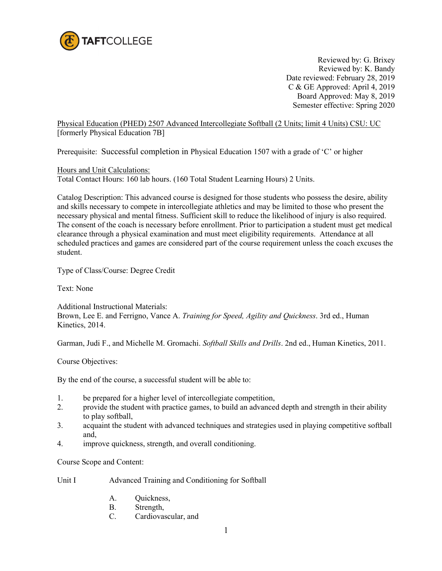

Reviewed by: G. Brixey Reviewed by: K. Bandy Date reviewed: February 28, 2019 C & GE Approved: April 4, 2019 Board Approved: May 8, 2019 Semester effective: Spring 2020

Physical Education (PHED) 2507 Advanced Intercollegiate Softball (2 Units; limit 4 Units) CSU: UC [formerly Physical Education 7B]

Prerequisite: Successful completion in Physical Education 1507 with a grade of 'C' or higher

Hours and Unit Calculations:

Total Contact Hours: 160 lab hours. (160 Total Student Learning Hours) 2 Units.

Catalog Description: This advanced course is designed for those students who possess the desire, ability and skills necessary to compete in intercollegiate athletics and may be limited to those who present the necessary physical and mental fitness. Sufficient skill to reduce the likelihood of injury is also required. The consent of the coach is necessary before enrollment. Prior to participation a student must get medical clearance through a physical examination and must meet eligibility requirements. Attendance at all scheduled practices and games are considered part of the course requirement unless the coach excuses the student.

Type of Class/Course: Degree Credit

Text: None

Additional Instructional Materials: Brown, Lee E. and Ferrigno, Vance A. *Training for Speed, Agility and Quickness*. 3rd ed., Human Kinetics, 2014.

Garman, Judi F., and Michelle M. Gromachi. *Softball Skills and Drills*. 2nd ed., Human Kinetics, 2011.

Course Objectives:

By the end of the course, a successful student will be able to:

- 1. be prepared for a higher level of intercollegiate competition,
- 2. provide the student with practice games, to build an advanced depth and strength in their ability to play softball,
- 3. acquaint the student with advanced techniques and strategies used in playing competitive softball and,
- 4. improve quickness, strength, and overall conditioning.

Course Scope and Content:

Unit I Advanced Training and Conditioning for Softball

- A. Quickness,
- B. Strength,
- C. Cardiovascular, and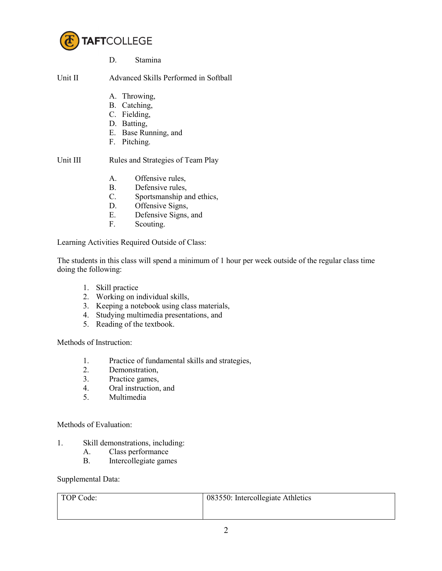

D. Stamina

## Unit II Advanced Skills Performed in Softball

- A. Throwing,
- B. Catching,
- C. Fielding,
- D. Batting,
- E. Base Running, and
- F. Pitching.

## Unit III Rules and Strategies of Team Play

- A. Offensive rules,
- B. Defensive rules,
- C. Sportsmanship and ethics,
- D. Offensive Signs,
- E. Defensive Signs, and
- F. Scouting.

Learning Activities Required Outside of Class:

The students in this class will spend a minimum of 1 hour per week outside of the regular class time doing the following:

- 1. Skill practice
- 2. Working on individual skills,
- 3. Keeping a notebook using class materials,
- 4. Studying multimedia presentations, and
- 5. Reading of the textbook.

Methods of Instruction:

- 1. Practice of fundamental skills and strategies,
- 2. Demonstration,
- 3. Practice games,
- 4. Oral instruction, and
- 5. Multimedia

## Methods of Evaluation:

- 1. Skill demonstrations, including:
	- A. Class performance
	- B. Intercollegiate games

Supplemental Data:

| TOP Code: | 083550: Intercollegiate Athletics |
|-----------|-----------------------------------|
|           |                                   |